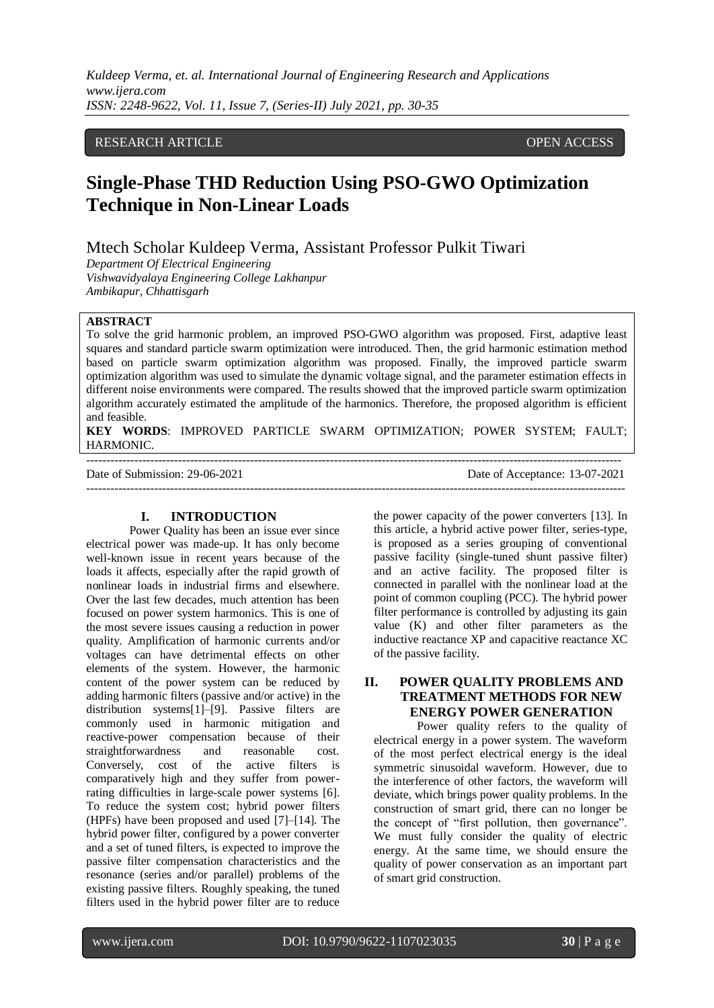### RESEARCH ARTICLE **CONSERVERS** OPEN ACCESS

# **Single-Phase THD Reduction Using PSO-GWO Optimization Technique in Non-Linear Loads**

Mtech Scholar Kuldeep Verma, Assistant Professor Pulkit Tiwari

*Department Of Electrical Engineering Vishwavidyalaya Engineering College Lakhanpur Ambikapur, Chhattisgarh*

### **ABSTRACT**

To solve the grid harmonic problem, an improved PSO-GWO algorithm was proposed. First, adaptive least squares and standard particle swarm optimization were introduced. Then, the grid harmonic estimation method based on particle swarm optimization algorithm was proposed. Finally, the improved particle swarm optimization algorithm was used to simulate the dynamic voltage signal, and the parameter estimation effects in different noise environments were compared. The results showed that the improved particle swarm optimization algorithm accurately estimated the amplitude of the harmonics. Therefore, the proposed algorithm is efficient and feasible.

**KEY WORDS**: IMPROVED PARTICLE SWARM OPTIMIZATION; POWER SYSTEM; FAULT; HARMONIC. --------------------------------------------------------------------------------------------------------------------------------------

Date of Submission: 29-06-2021 Date of Acceptance: 13-07-2021

---------------------------------------------------------------------------------------------------------------------------------------

#### **I. INTRODUCTION**

Power Quality has been an issue ever since electrical power was made-up. It has only become well-known issue in recent years because of the loads it affects, especially after the rapid growth of nonlinear loads in industrial firms and elsewhere. Over the last few decades, much attention has been focused on power system harmonics. This is one of the most severe issues causing a reduction in power quality. Amplification of harmonic currents and/or voltages can have detrimental effects on other elements of the system. However, the harmonic content of the power system can be reduced by adding harmonic filters (passive and/or active) in the distribution systems[1]–[9]. Passive filters are commonly used in harmonic mitigation and reactive-power compensation because of their straightforwardness and reasonable cost. Conversely, cost of the active filters is comparatively high and they suffer from powerrating difficulties in large-scale power systems [6]. To reduce the system cost; hybrid power filters (HPFs) have been proposed and used [7]–[14]. The hybrid power filter, configured by a power converter and a set of tuned filters, is expected to improve the passive filter compensation characteristics and the resonance (series and/or parallel) problems of the existing passive filters. Roughly speaking, the tuned filters used in the hybrid power filter are to reduce

the power capacity of the power converters [13]. In this article, a hybrid active power filter, series-type, is proposed as a series grouping of conventional passive facility (single-tuned shunt passive filter) and an active facility. The proposed filter is connected in parallel with the nonlinear load at the point of common coupling (PCC). The hybrid power filter performance is controlled by adjusting its gain value (K) and other filter parameters as the inductive reactance XP and capacitive reactance XC of the passive facility.

### **II. POWER QUALITY PROBLEMS AND TREATMENT METHODS FOR NEW ENERGY POWER GENERATION**

Power quality refers to the quality of electrical energy in a power system. The waveform of the most perfect electrical energy is the ideal symmetric sinusoidal waveform. However, due to the interference of other factors, the waveform will deviate, which brings power quality problems. In the construction of smart grid, there can no longer be the concept of "first pollution, then governance". We must fully consider the quality of electric energy. At the same time, we should ensure the quality of power conservation as an important part of smart grid construction.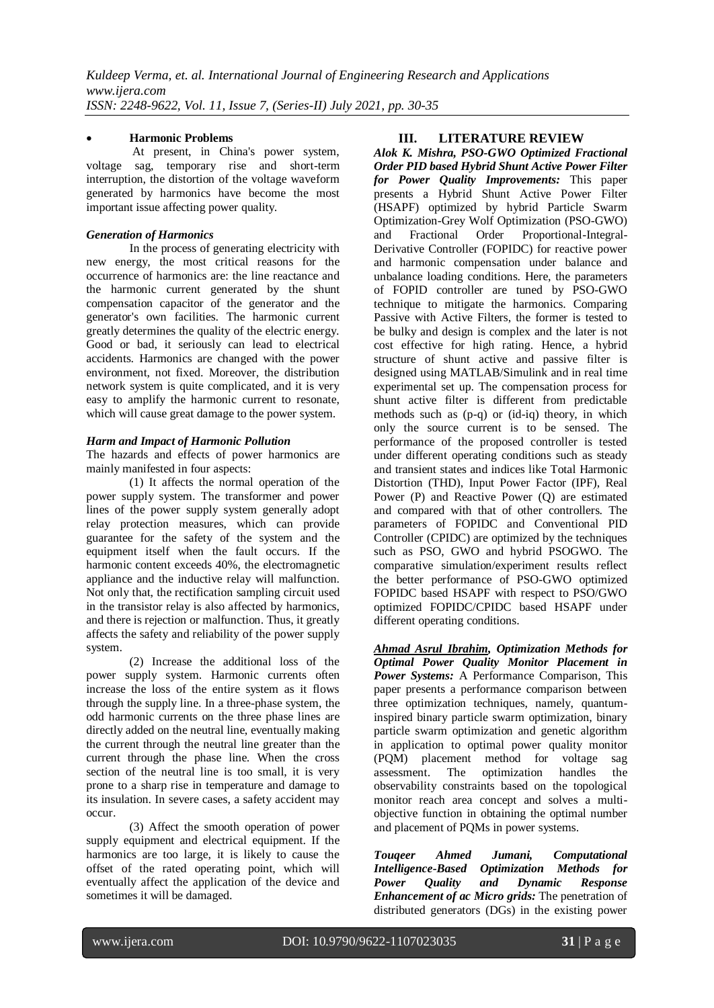#### **Harmonic Problems**

At present, in China's power system, voltage sag, temporary rise and short-term interruption, the distortion of the voltage waveform generated by harmonics have become the most important issue affecting power quality.

#### *Generation of Harmonics*

In the process of generating electricity with new energy, the most critical reasons for the occurrence of harmonics are: the line reactance and the harmonic current generated by the shunt compensation capacitor of the generator and the generator's own facilities. The harmonic current greatly determines the quality of the electric energy. Good or bad, it seriously can lead to electrical accidents. Harmonics are changed with the power environment, not fixed. Moreover, the distribution network system is quite complicated, and it is very easy to amplify the harmonic current to resonate, which will cause great damage to the power system.

#### *Harm and Impact of Harmonic Pollution*

The hazards and effects of power harmonics are mainly manifested in four aspects:

(1) It affects the normal operation of the power supply system. The transformer and power lines of the power supply system generally adopt relay protection measures, which can provide guarantee for the safety of the system and the equipment itself when the fault occurs. If the harmonic content exceeds 40%, the electromagnetic appliance and the inductive relay will malfunction. Not only that, the rectification sampling circuit used in the transistor relay is also affected by harmonics, and there is rejection or malfunction. Thus, it greatly affects the safety and reliability of the power supply system.

(2) Increase the additional loss of the power supply system. Harmonic currents often increase the loss of the entire system as it flows through the supply line. In a three-phase system, the odd harmonic currents on the three phase lines are directly added on the neutral line, eventually making the current through the neutral line greater than the current through the phase line. When the cross section of the neutral line is too small, it is very prone to a sharp rise in temperature and damage to its insulation. In severe cases, a safety accident may occur.

(3) Affect the smooth operation of power supply equipment and electrical equipment. If the harmonics are too large, it is likely to cause the offset of the rated operating point, which will eventually affect the application of the device and sometimes it will be damaged.

#### **III. LITERATURE REVIEW**

*Alok K. Mishra, PSO-GWO Optimized Fractional Order PID based Hybrid Shunt Active Power Filter for Power Quality Improvements:* This paper presents a Hybrid Shunt Active Power Filter (HSAPF) optimized by hybrid Particle Swarm Optimization-Grey Wolf Optimization (PSO-GWO) and Fractional Order Proportional-Integral-Derivative Controller (FOPIDC) for reactive power and harmonic compensation under balance and unbalance loading conditions. Here, the parameters of FOPID controller are tuned by PSO-GWO technique to mitigate the harmonics. Comparing Passive with Active Filters, the former is tested to be bulky and design is complex and the later is not cost effective for high rating. Hence, a hybrid structure of shunt active and passive filter is designed using MATLAB/Simulink and in real time experimental set up. The compensation process for shunt active filter is different from predictable methods such as (p-q) or (id-iq) theory, in which only the source current is to be sensed. The performance of the proposed controller is tested under different operating conditions such as steady and transient states and indices like Total Harmonic Distortion (THD), Input Power Factor (IPF), Real Power (P) and Reactive Power (Q) are estimated and compared with that of other controllers. The parameters of FOPIDC and Conventional PID Controller (CPIDC) are optimized by the techniques such as PSO, GWO and hybrid PSOGWO. The comparative simulation/experiment results reflect the better performance of PSO-GWO optimized FOPIDC based HSAPF with respect to PSO/GWO optimized FOPIDC/CPIDC based HSAPF under different operating conditions.

*Ahmad Asrul [Ibrahim,](https://www.researchgate.net/profile/Ahmad-Ibrahim-39) Optimization Methods for Optimal Power Quality Monitor Placement in Power Systems:* A Performance Comparison, This paper presents a performance comparison between three optimization techniques, namely, quantuminspired binary particle swarm optimization, binary particle swarm optimization and genetic algorithm in application to optimal power quality monitor (PQM) placement method for voltage sag assessment. The optimization handles the observability constraints based on the topological monitor reach area concept and solves a multiobjective function in obtaining the optimal number and placement of PQMs in power systems.

*Touqeer Ahmed Jumani, Computational Intelligence-Based Optimization Methods for Power Quality and Dynamic Response Enhancement of ac Micro grids:* The penetration of distributed generators (DGs) in the existing power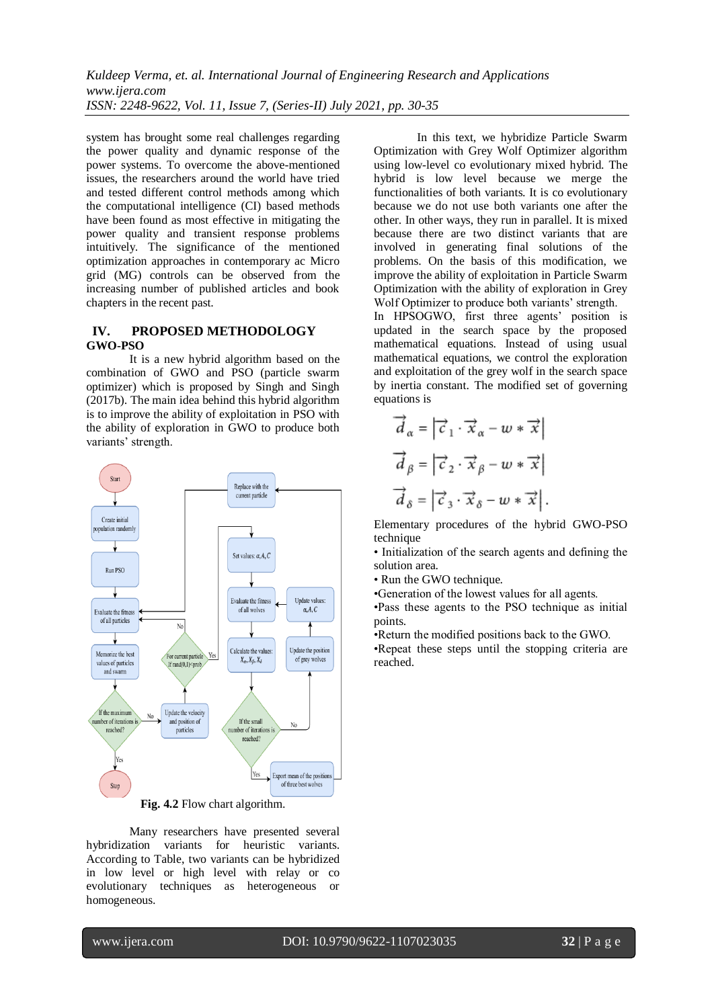system has brought some real challenges regarding the power quality and dynamic response of the power systems. To overcome the above-mentioned issues, the researchers around the world have tried and tested different control methods among which the computational intelligence (CI) based methods have been found as most effective in mitigating the power quality and transient response problems intuitively. The significance of the mentioned optimization approaches in contemporary ac Micro grid (MG) controls can be observed from the increasing number of published articles and book chapters in the recent past.

#### **IV. PROPOSED METHODOLOGY GWO-PSO**

It is a new hybrid algorithm based on the combination of GWO and PSO (particle swarm optimizer) which is proposed by Singh and Singh (2017b). The main idea behind this hybrid algorithm is to improve the ability of exploitation in PSO with the ability of exploration in GWO to produce both variants' strength.



**Fig. 4.2** Flow chart algorithm.

Many researchers have presented several hybridization variants for heuristic variants. According to Table, two variants can be hybridized in low level or high level with relay or co evolutionary techniques as heterogeneous or homogeneous.

In this text, we hybridize Particle Swarm Optimization with Grey Wolf Optimizer algorithm using low-level co evolutionary mixed hybrid. The hybrid is low level because we merge the functionalities of both variants. It is co evolutionary because we do not use both variants one after the other. In other ways, they run in parallel. It is mixed because there are two distinct variants that are involved in generating final solutions of the problems. On the basis of this modification, we improve the ability of exploitation in Particle Swarm Optimization with the ability of exploration in Grey Wolf Optimizer to produce both variants' strength.

In HPSOGWO, first three agents' position is updated in the search space by the proposed mathematical equations. Instead of using usual mathematical equations, we control the exploration and exploitation of the grey wolf in the search space by inertia constant. The modified set of governing equations is

$$
\vec{d}_{\alpha} = |\vec{c}_1 \cdot \vec{x}_{\alpha} - w * \vec{x}|
$$

$$
\vec{d}_{\beta} = |\vec{c}_2 \cdot \vec{x}_{\beta} - w * \vec{x}|
$$

$$
\vec{d}_{\delta} = |\vec{c}_3 \cdot \vec{x}_{\delta} - w * \vec{x}|.
$$

Elementary procedures of the hybrid GWO-PSO technique

• Initialization of the search agents and defining the solution area.

• Run the GWO technique.

•Generation of the lowest values for all agents.

•Pass these agents to the PSO technique as initial points.

•Return the modified positions back to the GWO.

•Repeat these steps until the stopping criteria are reached.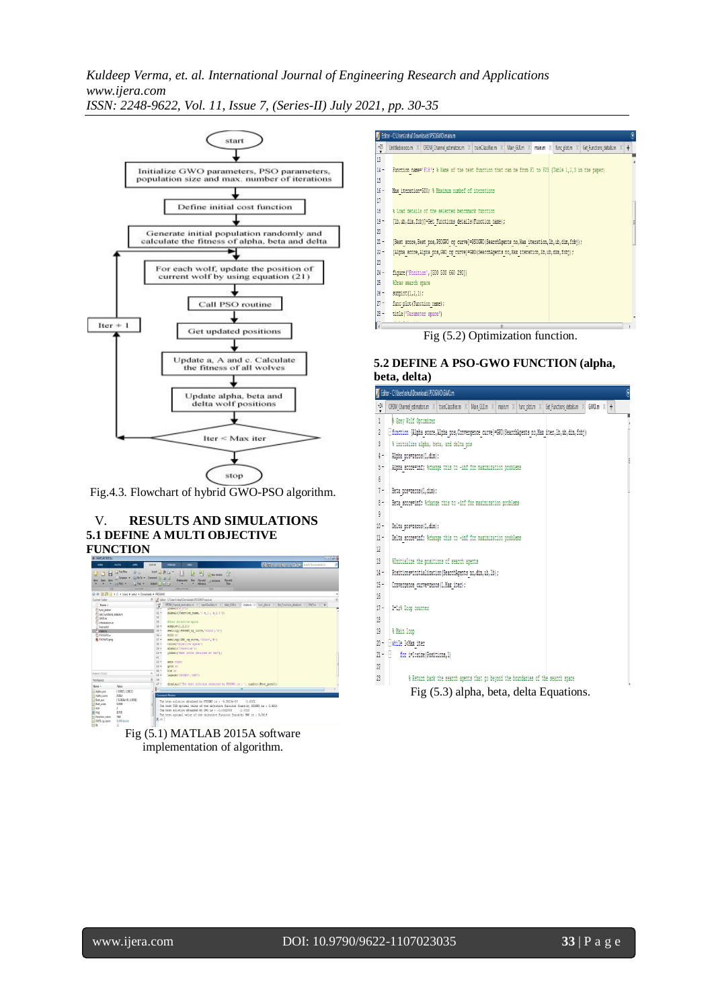

Fig.4.3. Flowchart of hybrid GWO-PSO algorithm.

#### V. **RESULTS AND SIMULATIONS 5.1 DEFINE A MULTI OBJECTIVE FUNCTION**



Fig (5.1) MATLAB 2015A software implementation of algorithm.

|               | $\Theta$<br>E Editor - C:\Users\rahul\Downloads\PSOGWO\main.m                                                                                  |  |
|---------------|------------------------------------------------------------------------------------------------------------------------------------------------|--|
| $\frac{4}{3}$ | Untitledoccco.m $X$ OFDM Channel estimators.m $X$ trainClassifier.m $X$ Main GULm $X$ main.m $X$ func plot.m $X$ Get Functions details.m $X$ + |  |
| 13            |                                                                                                                                                |  |
| $14 -$        | Function name='F18'; % Name of the test function that can be from F1 to F23 (Table 1,2,3 in the paper)                                         |  |
| 15            |                                                                                                                                                |  |
| $16 -$        | Max iteration=500: % Maximum numbef of iterations                                                                                              |  |
| 17            |                                                                                                                                                |  |
| 18            | \$ Load details of the selected benchmark function                                                                                             |  |
| $19 -$        | [lb, ub, dim, fobj]=Get Functions details (Function name) ;                                                                                    |  |
| 20            |                                                                                                                                                |  |
| $21 -$        | ; (Best score, Best pos, PSOGWO og curve)=PSOGWO (SearchAgents no, Max iteration, 1b, ub, dim, fobj);                                          |  |
| $22 -$        | [Alpha score, Alpha pos, GWO og curve]=GWO (SearchAgents no, Max iteration, lb, ub, dim, fobj);                                                |  |
| 23            |                                                                                                                                                |  |
| $24 -$        | figure ('Position', [500 500 660 2901)                                                                                                         |  |
| 25            | \$Draw search space                                                                                                                            |  |
| $26 -$        | $\text{subplot}(1,2,1);$                                                                                                                       |  |
| $27 -$        | func plot (Function name);                                                                                                                     |  |
| $28 -$        | title('Parameter space')                                                                                                                       |  |
|               |                                                                                                                                                |  |

Fig (5.2) Optimization function.

#### **5.2 DEFINE A PSO-GWO FUNCTION (alpha, beta, delta)**

|                 | $\Theta$<br>Editor - C:\Users\rahul\Downloads\PSOGWO\GWO.m                                                                           |
|-----------------|--------------------------------------------------------------------------------------------------------------------------------------|
| $\eta$          | OFDM Channel estimators.m $X$ trainClassifier.m $X$ Main GULm $X$ main.m $X$ func plot.m $X$ Get Functions details.m $X$ GWO.m $X$ + |
| 1               | <b>B</b> Grev Wolf Optimizer                                                                                                         |
| $\overline{c}$  | [function [Alpha score,Alpha pos,Convergence curve]=GWO(SearchAgents no,Max iter,1b,ub,dim,fobj)                                     |
| $\overline{3}$  | % initialize alpha, beta, and delta pos                                                                                              |
| $\frac{1}{2}$ – | Alpha pos=zeros (1,dim);                                                                                                             |
| $5 -$           | Alpha score=inf; %change this to -inf for maximization problems                                                                      |
| $\epsilon$      |                                                                                                                                      |
| $7 -$           | Beta pos=zeros(1,dim);                                                                                                               |
| $8 -$           | Beta score=inf; %change this to -inf for maximization problems                                                                       |
| 9               |                                                                                                                                      |
| $10 -$          | Delta pos=zeros(1,dim);                                                                                                              |
| $11 -$          | Delta score=inf; %change this to -inf for maximization problems                                                                      |
| 12              |                                                                                                                                      |
| 13              | %Initialize the positions of search agents                                                                                           |
| $14 -$          | Positions=initialization(SearchAgents no, dim, ub, lb);                                                                              |
| $15 -$          | Convergence curve=zeros(1, Max iter);                                                                                                |
| 16              |                                                                                                                                      |
| $17 -$          | 1=1:% Loop counter                                                                                                                   |
| 18              |                                                                                                                                      |
| 19              | % Main loop                                                                                                                          |
| $20 -$          | - while 1 <max iter<="" td=""></max>                                                                                                 |
|                 | $21 - 5$ for i=1:size (Positions, 1)                                                                                                 |
| $\overline{n}$  |                                                                                                                                      |
| 23              | % Return back the search agents that go beyond the boundaries of the search space                                                    |
|                 | Fig (5.3) alpha, beta, delta Equations.                                                                                              |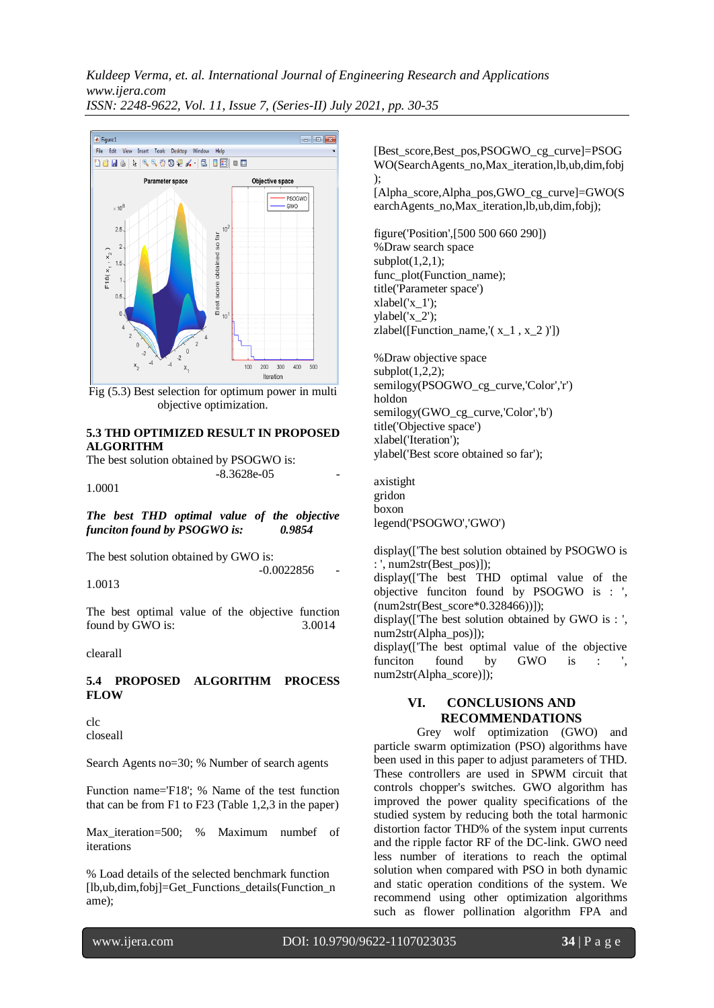

Fig (5.3) Best selection for optimum power in multi objective optimization.

#### **5.3 THD OPTIMIZED RESULT IN PROPOSED ALGORITHM**

The best solution obtained by PSOGWO is:  $-8.3628e-05$ 

1.0001

*The best THD optimal value of the objective funciton found by PSOGWO is: 0.9854*

The best solution obtained by GWO is:

-0.0022856 - 1.0013

The best optimal value of the objective function found by GWO is: 3.0014

clearall

#### **5.4 PROPOSED ALGORITHM PROCESS FLOW**

clc closeall

Search Agents no=30; % Number of search agents

Function name='F18'; % Name of the test function that can be from F1 to F23 (Table 1,2,3 in the paper)

Max iteration=500; % Maximum number of iterations

% Load details of the selected benchmark function [lb,ub,dim,fobj]=Get\_Functions\_details(Function\_n ame);

[Best\_score,Best\_pos,PSOGWO\_cg\_curve]=PSOG WO(SearchAgents\_no,Max\_iteration,lb,ub,dim,fobj );

[Alpha\_score,Alpha\_pos,GWO\_cg\_curve]=GWO(S earchAgents\_no,Max\_iteration,lb,ub,dim,fobj);

figure('Position',[500 500 660 290]) %Draw search space  $subplot(1,2,1);$ func\_plot(Function\_name); title('Parameter space') xlabel('x\_1'); ylabel('x\_2'); zlabel([Function\_name,'( $x_1$ ,  $x_2$ )'])

%Draw objective space  $subplot(1,2,2);$ semilogy(PSOGWO\_cg\_curve,'Color','r') holdon semilogy(GWO\_cg\_curve,'Color','b') title('Objective space') xlabel('Iteration'); ylabel('Best score obtained so far');

axistight gridon boxon legend('PSOGWO','GWO')

display(['The best solution obtained by PSOGWO is : ', num2str(Best\_pos)]);

display(['The best THD optimal value of the objective funciton found by PSOGWO is : ', (num2str(Best\_score\*0.328466))]);

display(['The best solution obtained by GWO is : ', num2str(Alpha\_pos)]);

display(['The best optimal value of the objective funciton found by GWO is : num2str(Alpha\_score)]);

## **VI. CONCLUSIONS AND RECOMMENDATIONS**

Grey wolf optimization (GWO) and particle swarm optimization (PSO) algorithms have been used in this paper to adjust parameters of THD. These controllers are used in SPWM circuit that controls chopper's switches. GWO algorithm has improved the power quality specifications of the studied system by reducing both the total harmonic distortion factor THD% of the system input currents and the ripple factor RF of the DC-link. GWO need less number of iterations to reach the optimal solution when compared with PSO in both dynamic and static operation conditions of the system. We recommend using other optimization algorithms such as flower pollination algorithm FPA and